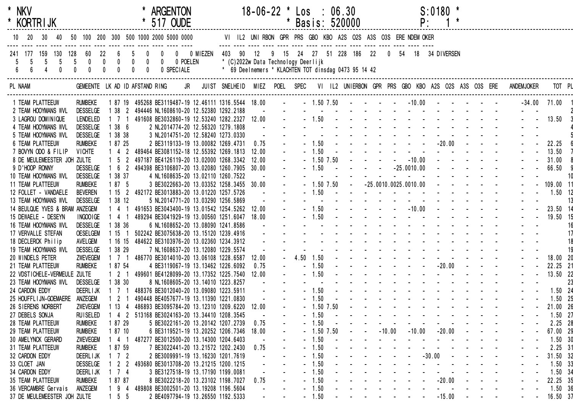| * NKV<br>* KORTRIJK                                                                                                         |                                                                        |                                                                    |             | <b>ARGENTON</b><br>517 OUDE                                                      |                                                                                             |                       | $18-06-22$ * $\text{Los}$ : 06.30 |              |                    | * Basis: 520000 |                                                                                                                 |          | P:                                                              | $S:0180$ * |          |                                                |                   |                |
|-----------------------------------------------------------------------------------------------------------------------------|------------------------------------------------------------------------|--------------------------------------------------------------------|-------------|----------------------------------------------------------------------------------|---------------------------------------------------------------------------------------------|-----------------------|-----------------------------------|--------------|--------------------|-----------------|-----------------------------------------------------------------------------------------------------------------|----------|-----------------------------------------------------------------|------------|----------|------------------------------------------------|-------------------|----------------|
| $10$ 20<br>30<br>40                                                                                                         |                                                                        |                                                                    |             | 50 100 200 300 500 1000 2000 5000 0000                                           | VI IL2 UNIRBON GPR PRS GBO KBO A2S O2S A3S O3S ERE NDEM OKER                                |                       |                                   |              |                    |                 |                                                                                                                 |          |                                                                 |            |          |                                                |                   |                |
| 241 177<br>159 130 128<br>$5\phantom{.0}$<br>$5\overline{)}$<br>-5<br>5<br>$6\phantom{a}$<br>$\mathbf{0}$<br>$6\phantom{.}$ | 22<br>60<br>$5\qquad$ 0<br>$\mathbf{0}$<br>$\mathbf{0}$<br>$\mathbf 0$ | $0\qquad 0$<br>$\overline{\mathbf{0}}$<br>$\pmb{0}$<br>$\mathbf 0$ | $\mathbf 0$ | 0 0 0 MIEZEN 403 90 12<br>0 0 0 POELEN<br>0 SPECIALE                             | * (C)2022w Data Technology Deerlijk<br>* 69 Deelnemers * KLACHTEN TOT dinsdag 0473 95 14 42 |                       |                                   |              |                    |                 | 9 15 24 27 51 228 186 22                                                                                        |          | 0 54 18 34 DIVERSEN                                             |            |          |                                                |                   |                |
| PL NAAM                                                                                                                     | GEMEENTE LK AD ID AFSTAND RING                                         |                                                                    |             | JR                                                                               | JUIST SNELHEID MIEZ POEL SPEC VI IL2 UNIERBON GPR PRS GBO KBO A2S O2S A3S O3S ERE           |                       |                                   |              |                    |                 |                                                                                                                 |          |                                                                 |            |          |                                                | <b>ANDEMJOKER</b> | TOT PL         |
| 1 TEAM PLATTEEUW                                                                                                            | <b>RUMBEKE</b>                                                         | 1 87 19                                                            |             | 495268 BE3119487-19 12.46111 1316.5544 18.00                                     |                                                                                             |                       | $\sim 10^{-11}$                   |              |                    |                 | $-1.507.50$ $   -10.00$ $   -$                                                                                  |          |                                                                 |            |          |                                                |                   | $-34.00$ 71.00 |
| 2 TEAM HOOYMANS WVL                                                                                                         | <b>DESSELGE</b>                                                        |                                                                    |             | 1 38 2 494446 NL1608610-20 12.52380 1292.2188                                    |                                                                                             | $\sim 100$ km $^{-1}$ |                                   |              |                    |                 | and the company of the company of the company of                                                                |          |                                                                 |            |          |                                                |                   |                |
| 3 LAGROU DOMINIQUE                                                                                                          | LENDELED                                                               | $1 \t1 \t1$                                                        |             | 491608 BE3032860-19 12.53240 1282.2327 12.00                                     |                                                                                             |                       |                                   |              |                    |                 | $-1.50$                                                                                                         |          |                                                                 |            |          |                                                |                   | 13.50          |
| 4 TEAM HOOYMANS WVL                                                                                                         | <b>DESSELGE</b>                                                        | 386                                                                |             | 2 NL2014774-20 12.56320 1279.1808                                                |                                                                                             |                       |                                   |              |                    |                 |                                                                                                                 |          |                                                                 |            |          |                                                |                   |                |
| 5 TEAM HOOYMANS WVL                                                                                                         | <b>DESSELGE</b>                                                        | 1 38 38                                                            |             | 3 NL2014751-20 12.58240 1273.0330                                                |                                                                                             |                       |                                   |              |                    |                 |                                                                                                                 |          |                                                                 |            |          |                                                |                   |                |
| 6 TEAM PLATTEEUW<br>7 BOVYN ODO & FILIP                                                                                     | <b>RUMBEKE</b>                                                         | 1 87 25<br>$1 \quad 4 \quad 2$                                     |             | 2 BE3119133-19 13.00082 1269.4731                                                |                                                                                             | 0.75                  |                                   |              | $-1.50$<br>$-1.50$ |                 |                                                                                                                 |          |                                                                 |            |          |                                                |                   | 22.25<br>13.50 |
| 8 DE MEULEMEESTER JOH ZULTE                                                                                                 | <b>VICHTE</b>                                                          | $1\quad5\quad2$                                                    |             | 489464 BE3081152-18 12.55392 1269.1813<br>497187 BE4126119-20 13.02000 1268.3342 |                                                                                             | 12.00<br>12.00        |                                   |              | $-1.50$ $7.50$     |                 |                                                                                                                 |          |                                                                 |            |          | $   10.00$ $     -$                            |                   | 31.00          |
| 9 D'HOOP RONNY                                                                                                              | <b>DESSELGE</b>                                                        | $\overline{1}$<br>6 <sup>2</sup>                                   |             | 494398 BE3106807-20 13.02080 1260.7905                                           |                                                                                             | 30.00                 |                                   |              | $-1.50$            |                 |                                                                                                                 |          | $-25.0010.00$                                                   |            |          |                                                |                   | 66.50          |
| 10 TEAM HOOYMANS WVL                                                                                                        | <b>DESSELGE</b>                                                        | 38 37                                                              |             | 4 NL1608635-20 13.02110 1260.7522                                                |                                                                                             |                       |                                   |              |                    |                 |                                                                                                                 |          | $\sim$ 100 $\pm$                                                |            |          |                                                |                   |                |
| 11 TEAM PLATTEEUW                                                                                                           | <b>RUMBEKE</b>                                                         | 1 87 5                                                             |             | 3 BE3022663-20 13.03352 1258.3455 30.00                                          |                                                                                             |                       |                                   |              |                    |                 | $-1.50$ 7.50 $-25.0010.0025.0010.00$                                                                            |          |                                                                 |            |          | and the second control of the second           |                   | 109.00 11      |
| 12 FOLLET - VANDAELE                                                                                                        | <b>BEVEREN</b>                                                         | 1152                                                               |             | 492172 BE3013883-20 13.01220 1257.5726                                           |                                                                                             |                       |                                   |              |                    |                 | $-1.50$                                                                                                         |          |                                                                 |            |          |                                                |                   | $1.50$ 12      |
| 13 TEAM HOOYMANS WVL                                                                                                        | <b>DESSELGE</b>                                                        | 1 38 12                                                            |             | 5 NL2014771-20 13.03290 1256.5869                                                |                                                                                             |                       |                                   |              |                    |                 | the contract of the contract of the contract of the contract of the contract of the contract of the contract of |          |                                                                 |            |          |                                                |                   | 13             |
| 14 BEULQUE YVES & BRAM ANZEGEM                                                                                              |                                                                        | 141                                                                |             | 491653 BE3043400-19 13.01542 1254.5262                                           |                                                                                             | 12.00                 |                                   |              | $-1.50$            |                 | $      10.00$ $   -$                                                                                            |          |                                                                 |            |          |                                                |                   | 23.50 14       |
| 15 DEWAELE - DESEYN                                                                                                         | INGOO IGE                                                              | 4 <sub>1</sub>                                                     |             | 489294 BE3041929-19 13.00560 1251.6047                                           |                                                                                             | 18.00                 |                                   |              | $-1.50$            |                 |                                                                                                                 |          | $\mathbf{L}^{\text{max}}$ , and $\mathbf{L}^{\text{max}}$ , and |            |          |                                                |                   | 19.50 15       |
| 16 TEAM HOOYMANS WVL                                                                                                        | <b>DESSELGE</b>                                                        | 1 38 36                                                            |             | 6 NL1608652-20 13.08090 1241.8586                                                |                                                                                             |                       |                                   |              |                    |                 |                                                                                                                 |          |                                                                 |            |          |                                                |                   | 16             |
| 17 VERVALLE STEFAN                                                                                                          | <b>OESELGEM</b>                                                        | $15-1$<br>-1                                                       |             | 502242 BE3075638-20 13.15120 1239.4916                                           |                                                                                             |                       |                                   |              |                    |                 |                                                                                                                 |          |                                                                 |            |          |                                                |                   |                |
| 18 DECLERCK Philip                                                                                                          | AVELGEM                                                                | 16 15                                                              |             | 484622 BE3103976-20 13.02360 1234.3912                                           |                                                                                             |                       |                                   |              |                    |                 |                                                                                                                 |          |                                                                 |            |          |                                                |                   | 18             |
| 19 TEAM HOOYMANS WVL                                                                                                        | <b>DESSELGE</b>                                                        | 38 29                                                              |             | 7 NL1608637-20 13.12080 1229.5574                                                |                                                                                             |                       |                                   |              |                    |                 |                                                                                                                 |          |                                                                 |            |          |                                                |                   | 19             |
| 20 WINDELS PETER                                                                                                            | ZWEVEGEM                                                               | 7 1                                                                |             | 486770 BE3014010-20 13.06108 1228.6587                                           |                                                                                             | 12.00                 |                                   | $-4.50$ 1.50 |                    |                 | the contract of the contract of the con-                                                                        |          |                                                                 |            |          |                                                |                   | 18.00 20       |
| 21 TEAM PLATTEEUW                                                                                                           | <b>RUMBEKE</b>                                                         | 1 87 54                                                            |             | 4 BE3119067-19 13.13462 1226.6092                                                |                                                                                             | 0.75                  |                                   |              | $-1.50$            |                 |                                                                                                                 |          |                                                                 |            |          |                                                |                   | 22.25 21       |
| 22 VDSTICHELE-VERMEULE ZULTE                                                                                                |                                                                        | $1 \quad 2 \quad 1$                                                |             | 499601 BE4128099-20 13.17352 1225.7540                                           |                                                                                             | 12.00                 |                                   |              | $-1.50$            |                 |                                                                                                                 |          |                                                                 |            |          | and the second control of the second           |                   | 13.50 22       |
| 23 TEAM HOOYMANS WVL                                                                                                        | <b>DESSELGE</b>                                                        | 1 38 30                                                            |             | 8 NL1608605-20 13.14010 1223.8257                                                |                                                                                             |                       |                                   |              |                    |                 | and the state of the state of the state of the state of the state of the state of the state of the state of the |          |                                                                 |            |          |                                                |                   | 23             |
| 24 CARDON EDDY                                                                                                              | <b>DEERLIJK</b>                                                        | 1 7 1                                                              |             | 488376 BE3012040-20 13.09080 1223.5911                                           |                                                                                             |                       |                                   |              | $-1.50$            |                 | the contract of the contract of the contract of                                                                 |          |                                                                 |            |          |                                                |                   | 1.50 24        |
| 25 HOUFFL I JN-GOEMAERE ANZEGEM                                                                                             |                                                                        | $1 \quad 2 \quad 1$                                                |             | 490448 BE4057677-19 13.11390 1221.0830                                           |                                                                                             |                       |                                   |              | $-1.50$            |                 | and a strong contract and a strong                                                                              |          |                                                                 |            |          |                                                |                   | $1.50$ 25      |
| 26 SIERENS NORBERT                                                                                                          | ZWEVEGEM                                                               | 1134                                                               |             | 486893 BE3095784-20 13.12310 1209.6220                                           |                                                                                             | 12.00                 |                                   |              | $-1.50$ 7.50       |                 |                                                                                                                 |          |                                                                 |            |          | and the state of the state of the state of the |                   | 21.00 26       |
| 27 DEBELS SONJA                                                                                                             | <b>RUISELED</b>                                                        | 42                                                                 |             | 513168 BE3024163-20 13.34410 1208.3545                                           |                                                                                             |                       |                                   |              | 1.50               |                 |                                                                                                                 |          |                                                                 |            |          |                                                |                   | $1.50$ 27      |
| 28 TEAM PLATTEEUW                                                                                                           | <b>RUMBEKE</b>                                                         | 1 87 29                                                            |             | 5 BE3022161-20 13.20142 1207.2739                                                |                                                                                             | 0.75                  |                                   |              | 1.50               |                 |                                                                                                                 |          |                                                                 |            |          |                                                |                   | 2.25 28        |
| 29 TEAM PLATTEEUW                                                                                                           | <b>RUMBEKE</b>                                                         | 1 87 10                                                            |             | 6 BE3119521-19 13.20252 1206.7346                                                |                                                                                             | 18.00                 |                                   |              | $-1.50$ 7.50       |                 |                                                                                                                 | $-10.00$ | $-10.00$                                                        |            | $-20.00$ |                                                |                   | 67.00 29       |
| 30 AMELYNCK GERARD                                                                                                          | <b>ZWEVEGEM</b>                                                        | 4 1                                                                |             | 487277 BE3012500-20 13.14300 1204.6403                                           |                                                                                             |                       |                                   |              | $-1.50$            |                 |                                                                                                                 |          | $\sim$                                                          |            |          |                                                |                   | 1.50.30        |
| <b>31 TEAM PLATTEEUW</b>                                                                                                    | <b>RUMBEKE</b>                                                         | 1 87 59                                                            |             | 7 BE3022441-20 13.21572 1202.2430                                                |                                                                                             | 0.75                  |                                   |              | $-1.50$            |                 |                                                                                                                 |          |                                                                 |            |          |                                                |                   | 2.25 31        |
| 32 CARDON EDDY                                                                                                              | DEERL I JK                                                             | 7 2                                                                |             | 2 BE3009991-19 13.16230 1201.7619                                                |                                                                                             |                       |                                   |              | 1.50               |                 |                                                                                                                 |          |                                                                 | $-30.00$   |          |                                                |                   | 31.50 32       |
| 33 CLOET JAN                                                                                                                | <b>DESSELGE</b>                                                        | $\mathbf{2}$<br>-2                                                 |             | 493680 BE3013708-20 13.21215 1200.1215                                           |                                                                                             |                       |                                   |              | 1.50               |                 |                                                                                                                 |          |                                                                 |            |          |                                                |                   | $1.50$ 33      |
| 34 CARDON EDDY                                                                                                              | <b>DEERLIJK</b>                                                        | 7 <sub>4</sub>                                                     |             | 3 BE3127518-19 13.17190 1199.0081                                                |                                                                                             |                       |                                   |              | $-1.50$            |                 |                                                                                                                 |          |                                                                 |            |          |                                                |                   | 1.50 34        |
| 35 TEAM PLATTEEUW                                                                                                           | <b>RUMBEKE</b>                                                         | 1 87 87                                                            |             | 8 BE3022218-20 13.23102 1198.7027                                                |                                                                                             | 0.75                  |                                   |              | $-1.50$            |                 |                                                                                                                 |          |                                                                 |            | $-20.00$ |                                                |                   | 22.25 35       |
| 36 VERCAMBRE Gervais                                                                                                        | ANZEGEM                                                                | 9 <sub>4</sub>                                                     |             | 489808 BE3002501-20 13.19208 1196.5604                                           |                                                                                             |                       |                                   |              | $-1.50$            |                 |                                                                                                                 |          |                                                                 |            |          |                                                |                   | 1.50 36        |
| 37 DE MEULEMEESTER JOH ZULTE                                                                                                |                                                                        | 5 5                                                                |             | 2 BE4097794-19 13.26550 1192.5333                                                |                                                                                             |                       |                                   |              | $-1.50$            |                 |                                                                                                                 |          |                                                                 |            | $-15.00$ | $\sim$                                         |                   | 16.50 37       |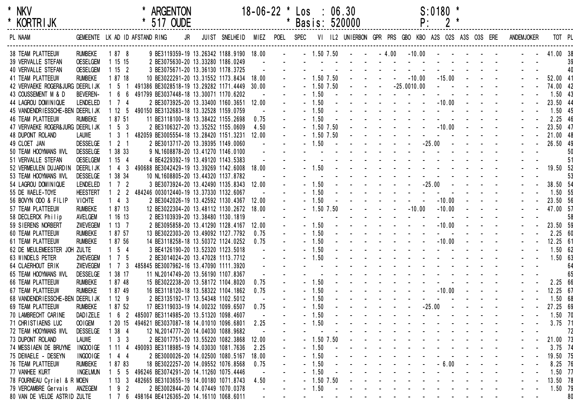

| <b>KORIRIJK</b>                    |                 |                     | 51/ OUDE                                     |    |                |       |           |              | Basis: 520000                                       |  | Ρ.            |            |          |  |                   |           |     |
|------------------------------------|-----------------|---------------------|----------------------------------------------|----|----------------|-------|-----------|--------------|-----------------------------------------------------|--|---------------|------------|----------|--|-------------------|-----------|-----|
| PL NAAM                            |                 |                     | GEMEENTE LK AD ID AFSTAND RING               | JR | JUIST SNELHEID | MIEZ  | POEL SPEC |              | VI IL2 UNIERBON GPR PRS GBO KBO A2S O2S A3S O3S ERE |  |               |            |          |  | <b>ANDEMJOKER</b> | TOT PL    |     |
|                                    |                 |                     |                                              |    |                |       |           |              |                                                     |  |               |            |          |  |                   |           |     |
| <b>38 TEAM PLATTEEUW</b>           | <b>RUMBEKE</b>  | 1878                | 9 BE3119359-19 13.26342 1188.9190 18.00      |    |                |       |           |              | $-1.50$ 7.50 $  -4.00$                              |  | $-10.00$      |            |          |  |                   | 41.00 38  |     |
| 39 VERVALLE STEFAN                 | <b>OESELGEM</b> | 1 15 15             | 2 BE3075630-20 13.33280 1186.0249            |    |                |       |           |              |                                                     |  |               |            |          |  |                   |           | 39  |
| <b>40 VERVALLE STEFAN</b>          | <b>OESELGEM</b> | 1152                | 3 BE3075671-20 13.36130 1178.3725            |    |                |       |           |              |                                                     |  |               |            |          |  |                   |           |     |
| <b>41 TEAM PLATTEEUW</b>           | <b>RUMBEKE</b>  | 1 87 18             | 10 BE3022291-20 13.31552 1173.8434           |    |                | 18.00 |           | $-1.50$ 7.50 |                                                     |  | $-10.00$      |            | $-15.00$ |  |                   | 52.00 41  |     |
| 42 VERVAEKE ROGER& JURG DEERL I JK |                 | 5 <sub>1</sub>      | 491386 BE3028518-19 13.29282 1171.4449 30.00 |    |                |       |           | $-1.50$ 7.50 |                                                     |  | $-25.0010.00$ |            |          |  |                   | 74.00 42  |     |
| 43 COUSSEMENT M & D                | <b>BEVEREN-</b> | 6 6                 | 491799 BE3037448-18 13.30071 1170.6202       |    |                |       |           | $-1.50$      |                                                     |  |               |            |          |  |                   | $1.50$ 43 |     |
| 44 LAGROU DOMINIQUE                | LENDELED        | 74                  | 2 BE3073925-20 13.33400 1160.3651 12.00      |    |                |       |           | 1.50         |                                                     |  |               |            | $-10.00$ |  |                   | 23.50 44  |     |
| 45 VANDENDRIESSCHE-BEN DEERLIJK    |                 | 12 <sub>5</sub>     | 490150 BE3132683-18 13.32528 1159.0759       |    |                |       |           | 1.50         |                                                     |  |               |            |          |  |                   | 1.50 45   |     |
| <b>46 TEAM PLATTEEUW</b>           | <b>RUMBEKE</b>  | 1 87 51             | 11 BE3118100-18 13.38422 1155.2698           |    |                | 0.75  |           | 1.50         |                                                     |  |               |            |          |  |                   | 2.25 46   |     |
| 47 VERVAEKE ROGER& JURG DEERL I JK |                 | 5 <sup>3</sup>      | 2 BE3106327-20 13.35252 1155.0609            |    |                | 4.50  |           | $-1.50$ 7.50 |                                                     |  |               |            | $-10.00$ |  |                   | 23.50 47  |     |
| 48 DUPONT ROLAND                   | <b>LAUWE</b>    | 3 <sub>1</sub>      | 482059 BE3005554-18 13.28420 1151.3231       |    |                | 12.00 |           | $-1.50$ 7.50 |                                                     |  |               | $\sim$ $-$ |          |  |                   | 21.00 48  |     |
| 49 CLOET JAN                       | <b>DESSELGE</b> | 2 <sub>1</sub>      | 2 BE3013717-20 13.39395 1149.0060            |    |                |       |           | $-1.50$      |                                                     |  |               | $-25.00$   |          |  |                   | 26.50 49  |     |
| 50 TEAM HOOYMANS WVL               | <b>DESSELGE</b> | 1 38 33             | 9 NL1608878-20 13.41270 1146.0100            |    |                |       |           |              |                                                     |  |               |            |          |  |                   |           | 50  |
| 51 VERVALLE STEFAN                 | <b>OESELGEM</b> | 1154                | 4 BE4229392-19 13.49120 1143.5383            |    |                |       |           |              |                                                     |  |               |            |          |  |                   |           | -51 |
| 52 VERMEULEN DUJARDIN              | DEERL I JK      | 4 <sup>3</sup>      | 490688 BE3042429-19 13.39269 1142.6008       |    |                | 18.00 |           | $-1.50$      |                                                     |  |               |            |          |  |                   | 19.50 52  |     |
| 53 TEAM HOOYMANS WVL               | <b>DESSELGE</b> | 38 34               | 10 NL1608805-20 13.44320 1137.8782           |    |                |       |           |              |                                                     |  |               |            |          |  |                   |           | 53  |
| 54 LAGROU DOMINIQUE                | <b>LENDELED</b> | 7 2                 | 3 BE3073924-20 13.42490 1135.8343            |    |                | 12.00 |           | 1.50         |                                                     |  |               | $-25.00$   |          |  |                   | 38.50 54  |     |
| 55 DE WAELE-TOYE                   | <b>HEESTERT</b> | 2 <sub>2</sub>      | 484246 003012440-19 13.37330 1132.6067       |    |                |       |           | 1.50         |                                                     |  |               |            |          |  |                   | 1.50 55   |     |
| 56 BOVYN ODO & FILIP               | <b>VICHTE</b>   | 4 <sup>3</sup>      | 2 BE3042026-19 13.42592 1130.4367            |    |                | 12.00 |           | 1.50         |                                                     |  |               |            | $-10.00$ |  |                   | 23.50 56  |     |
| 57 TEAM PLATTEEUW                  | <b>RUMBEKE</b>  | 1 87 13             | 12 BE3022304-20 13.48112 1130.2672           |    |                | 18.00 |           | $-1.50$ 7.50 |                                                     |  | $-10.00$      |            | $-10.00$ |  |                   | 47.00 57  |     |
| 58 DECLERCK Philip                 | AVELGEM         | 1 16 13             | 2 BE3103939-20 13.38480 1130.1819            |    |                |       |           |              |                                                     |  |               |            |          |  |                   |           | 58  |
| 59 SIERENS NORBERT                 | ZWEVEGEM        | 1137                | 2 BE3095858-20 13.41290 1128.4167            |    |                | 12.00 |           | $-1.50$      |                                                     |  |               |            | $-10.00$ |  |                   | 23.50 59  |     |
| 60 TEAM PLATTEEUW                  | <b>RUMBEKE</b>  | 1 87 57             | 13 BE3022303-20 13.49092 1127.7792           |    |                | 0.75  |           | $-1.50$      |                                                     |  |               |            |          |  |                   | 2.2560    |     |
| 61 TEAM PLATTEEUW                  | <b>RUMBEKE</b>  | 1 87 56             | 14 BE3118258-18 13.50372 1124.0252           |    |                | 0.75  |           | 1.50         |                                                     |  |               |            | $-10.00$ |  |                   | 12.25 61  |     |
| 62 DE MEULEMEESTER JOH ZULTE       |                 | $1\quad5\quad4$     | 3 BE4126190-20 13.52320 1123.5018            |    |                |       |           | 1.50         |                                                     |  |               |            |          |  |                   | 1.5062    |     |
| 63 WINDELS PETER                   | <b>ZWEVEGEM</b> | $1 \quad 7 \quad 5$ | 2 BE3014024-20 13.47028 1113.7712            |    |                |       |           | 1.50         |                                                     |  |               |            |          |  |                   | 1.50 63   |     |
| 64 CLAERHOUT ERIK                  | ZWEVEGEM        | 7 3                 | 485845 BE3007962-16 13.47090 1111.3920       |    |                |       |           |              |                                                     |  |               |            |          |  |                   |           | 64  |
| 65 TEAM HOOYMANS WVL               | <b>DESSELGE</b> | 38 17               | 11 NL2014749-20 13.56190 1107.8367           |    |                |       |           |              |                                                     |  |               |            |          |  |                   |           | 65  |
| 66 TEAM PLATTEEUW                  | <b>RUMBEKE</b>  | 1 87 48             | 15 BE3022238-20 13.58172 1104.8020           |    |                | 0.75  |           | $-1.50$      |                                                     |  |               |            |          |  |                   | 2.25 66   |     |
| 67 TEAM PLATTEEUW                  | <b>RUMBEKE</b>  | 1 87 49             | 16 BE3118120-18 13.58322 1104.1862           |    |                | 0.75  |           | $-1.50$      |                                                     |  |               |            | $-10.00$ |  |                   | 12.25 67  |     |
| 68 VANDENDRIESSCHE-BEN DEERLIJK    |                 | 1129                | 2 BE3135192-17 13.54348 1102.5012            |    |                |       |           | 1.50         |                                                     |  |               |            |          |  |                   | 1.50 68   |     |
|                                    |                 |                     |                                              |    |                |       |           |              |                                                     |  |               | $-25.00$   |          |  |                   |           |     |
| 69 TEAM PLATTEEUW                  | <b>RUMBEKE</b>  | 1 87 52             | 17 BE3119033-19 14.00232 1099.6507           |    |                | 0.75  |           | 1.50         |                                                     |  |               |            |          |  |                   | 27.25 69  |     |
| 70 LAMBRECHT CARINE                | <b>DADIZELE</b> | 6 <sup>2</sup>      | 485007 BE3114985-20 13.51320 1098.4607       |    |                |       |           | 1.50         |                                                     |  |               |            |          |  |                   | $1.50$ 70 |     |
| 71 CHRISTIAENS LUC                 | OO IGEM         | 20 15               | 494621 BE3037087-18 14.01010 1096.6801       |    |                | 2.25  |           | 1.50         |                                                     |  |               |            |          |  |                   | $3.75$ 71 |     |
| 72 TEAM HOOYMANS WVL               | <b>DESSELGE</b> | 38 4                | 12 NL2014777-20 14.04030 1088.9682           |    |                |       |           |              |                                                     |  |               |            |          |  |                   |           | 72  |
| 73 DUPONT ROLAND                   | <b>LAUWE</b>    | 3 <sup>3</sup>      | 2 BE3017751-20 13.55220 1082.3868            |    |                | 12.00 |           | 1.50 7.50    |                                                     |  |               |            |          |  |                   | 21.00 73  |     |
| 74 MESSIAEN DE BRUYNE INGOOIGE     |                 | $11 \quad 4$        | 490093 BE3118985-19 14.03030 1081.7636       |    |                | 2.25  |           | 1.50         |                                                     |  |               |            |          |  |                   | $3.75$ 74 |     |
| 75 DEWAELE - DESEYN                | INGOOIGE        | 44                  | 2 BE3000026-20 14.02500 1080.5167            |    |                | 18.00 |           | 1.50         |                                                     |  |               |            |          |  |                   | 19.50 75  |     |
| <b>76 TEAM PLATTEEUW</b>           | <b>RUMBEKE</b>  | 8783                | 18 BE3022257-20 14.09552 1076.8568           |    |                | 0.75  |           | 1.50         |                                                     |  |               |            | $-6.00$  |  |                   | 8.25 76   |     |
| 77 VANHEE KURT                     | <b>INGELMUN</b> | 5 5                 | 496246 BE3074291-20 14.11260 1075.4446       |    |                |       |           | 1.50         |                                                     |  |               |            |          |  |                   | 1.50 77   |     |
| 78 FOURNEAU Cyriel & R MOEN        |                 | 1133                | 482665 BE3103655-19 14.00180 1071.8743       |    |                | 4.50  |           | 1.50 7.50    |                                                     |  |               |            |          |  |                   | 13.50 78  |     |
| 79 VERCAMBRE Gervais               | ANZEGEM         | 9 <sub>2</sub>      | 2 BE3002844-20 14.07449 1070.0378            |    |                |       |           | 1.50         |                                                     |  |               |            |          |  |                   | 1.50 79   |     |
| 80 VAN DE VELDE ASTRID ZULTE       |                 | 1 7 6               | 498164 BE4126365-20 14.16110 1068.6011       |    |                |       |           |              |                                                     |  |               |            |          |  |                   |           | 80  |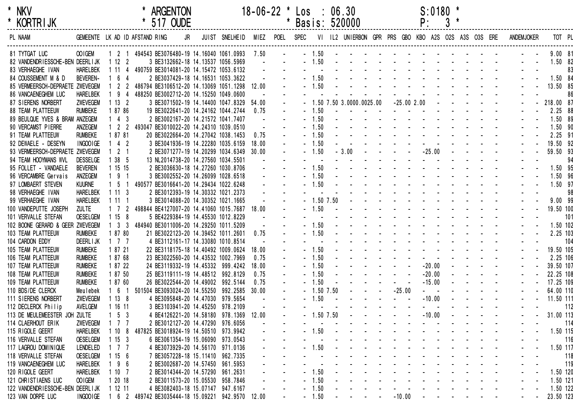| $\star$ | NKV             |  |
|---------|-----------------|--|
| *       | <b>KORTRIJK</b> |  |

| <b>KORTRIJK</b>                  |                 |                     |                                              | $51/$ OUDE                         |                                         |       |           | Basis: 520000 |              |                                                     |              | Ρ.                     |  |  |            |           |     |
|----------------------------------|-----------------|---------------------|----------------------------------------------|------------------------------------|-----------------------------------------|-------|-----------|---------------|--------------|-----------------------------------------------------|--------------|------------------------|--|--|------------|-----------|-----|
| PL NAAM                          |                 |                     | GEMEENTE LK AD ID AFSTAND RING               | JR                                 | JUIST SNELHEID                          | MIEZ  | POEL SPEC |               |              | VI IL2 UNIERBON GPR PRS GBO KBO A2S O2S A3S O3S ERE |              |                        |  |  | ANDEMJOKER | TOT PL    |     |
| 81 TYTGAT LUC                    | OO IGEM         |                     | 1 2 1 494543 BE3076480-19 14.16040 1061.0993 |                                    |                                         | 7.50  |           | $-1.50$       |              |                                                     |              |                        |  |  |            | 9.0081    |     |
| 82 VANDENDRIESSCHE-BEN DEERLIJK  |                 | 1122                |                                              | 3 BE3132662-18 14.13537 1056.5969  |                                         |       |           |               | 1.50         |                                                     |              |                        |  |  |            | 1.50 82   |     |
| 83 VERHAEGHE IVAN                | <b>HARELBEK</b> | 1114                | 490759 BE3014081-20 14.15472 1053.6132       |                                    |                                         |       |           |               |              |                                                     |              |                        |  |  |            |           | 83  |
| 84 COUSSEMENT M & D              | <b>BEVEREN-</b> | 64                  |                                              | 2 BE3037429-18 14.16531 1053.3622  |                                         |       |           |               | 1.50         |                                                     |              |                        |  |  |            | 1.50 84   |     |
| 85 VERMEERSCH-DEPRAETE ZWEVEGEM  |                 | 2 <sub>2</sub>      | 486794 BE3106512-20 14.13069 1051.1298 12.00 |                                    |                                         |       |           |               | 1.50         |                                                     |              |                        |  |  |            | 13.50 85  |     |
| 86 VANCAENEGHEM LUC              | <b>HARELBEK</b> | 94                  | 488250 BE3002712-20 14.15250 1049.0600       |                                    |                                         |       |           |               |              |                                                     |              |                        |  |  |            |           | 86  |
| 87 SIERENS NORBERT               | ZWEVEGEM        | 1132                |                                              |                                    | 3 BE3071502-19 14.14400 1047.8329 54.00 |       |           |               |              | 1.50 7.50 3.0000.0025.00                            | $-25.002.00$ |                        |  |  |            | 218.00 87 |     |
| <b>88 TEAM PLATTEEUW</b>         | <b>RUMBEKE</b>  | 1 87 86             |                                              | 19 BE3022641-20 14.24162 1044.2744 |                                         | 0.75  |           | $-1.50$       |              |                                                     |              |                        |  |  |            | 2.25 88   |     |
| 89 BEULQUE YVES & BRAM ANZEGEM   |                 | $143$               |                                              | 2 BE3002167-20 14.21572 1041.7407  |                                         |       |           |               | 1.50         |                                                     |              |                        |  |  |            | 1.50 89   |     |
| 90 VERCAMST PIERRE               | ANZEGEM         | $1 \quad 2 \quad 2$ | 493047 BE3010022-20 14.24310 1039.0510       |                                    |                                         |       |           |               | 1.50         |                                                     |              |                        |  |  |            | 1.50 90   |     |
| 91 TEAM PLATTEEUW                | <b>RUMBEKE</b>  | 1 87 81             |                                              | 20 BE3022664-20 14.27042 1038.1453 |                                         | 0.75  |           |               | 1.50         |                                                     |              |                        |  |  |            | 2.25 91   |     |
| 92 DEWAELE - DESEYN              | INGOOIGE        | 4 <sub>2</sub>      |                                              | 3 BE3041936-19 14.22280 1035.6159  |                                         | 18.00 |           |               | 1.50         |                                                     |              |                        |  |  |            | 19.50 92  |     |
| 93 VERMEERSCH-DEPRAETE ZWEVEGEM  |                 | 2 <sub>1</sub>      |                                              |                                    | 2 BE3071277-19 14.20299 1034.6349 30.00 |       |           | $-1.50$       |              | $-3.00$                                             |              | $-25.00$               |  |  |            | 59.50 93  |     |
| 94 TEAM HOOYMANS WVL             | <b>DESSELGE</b> | 1 38 5              |                                              | 13 NL2014738-20 14.27560 1034.5501 |                                         |       |           |               |              |                                                     |              |                        |  |  |            |           | 94  |
| 95 FOLLET - VANDAELE             | <b>BEVEREN</b>  | 1 15 15             |                                              | 2 BE3036630-18 14.27260 1030.8706  |                                         |       |           |               | 1.50         |                                                     |              |                        |  |  |            | 1.50 95   |     |
| 96 VERCAMBRE Gervais             | ANZEGEM         | $191$               |                                              | 3 BE3002552-20 14.26099 1028.6518  |                                         |       |           |               | 1.50         |                                                     |              |                        |  |  |            | 1.50 96   |     |
| 97 LOMBAERT STEVEN               | <b>KUURNE</b>   | $1\quad 5\quad 1$   | 490577 BE3016641-20 14.29434 1022.6248       |                                    |                                         |       |           |               | 1.50         |                                                     |              |                        |  |  |            | 1.50 97   |     |
| 98 VERHAEGHE IVAN                | <b>HARELBEK</b> | 1113                |                                              | 2 BE3012393-19 14.30332 1021.2373  |                                         |       |           |               |              |                                                     |              |                        |  |  |            |           | 98  |
| 99 VERHAEGHE IVAN                | <b>HARELBEK</b> | 1 11 1              |                                              | 3 BE3014088-20 14.30352 1021.1665  |                                         |       |           |               | $-1.50$ 7.50 |                                                     |              |                        |  |  |            | 9.00 99   |     |
| 100 VANDEPUTTE JOSEPH            | <b>ZULTE</b>    | 1 7 2               | 498844 BE4127007-20 14.41060 1015.7687 18.00 |                                    |                                         |       |           |               | 1.50         |                                                     |              |                        |  |  |            | 19.50 100 |     |
| 101 VERVALLE STEFAN              | <b>OESELGEM</b> | 1158                |                                              | 5 BE4229384-19 14.45530 1012.8229  |                                         |       |           |               |              |                                                     |              |                        |  |  |            |           | 101 |
| 102 BOONE GERARD & GEER ZWEVEGEM |                 | $1 \quad 3 \quad 3$ | 484940 BE3011006-20 14.29250 1011.5209       |                                    |                                         |       |           |               | 1.50         |                                                     |              |                        |  |  |            | 1.50 102  |     |
| 103 TEAM PLATTEEUW               | <b>RUMBEKE</b>  | 1 87 80             |                                              | 21 BE3022123-20 14.39452 1011.2601 |                                         | 0.75  |           |               | 1.50         |                                                     |              |                        |  |  |            | 2.25 103  |     |
| 104 CARDON EDDY                  | <b>DEERLIJK</b> | 1 7 7               |                                              | 4 BE3112161-17 14.33080 1010.8514  |                                         |       |           |               |              |                                                     |              |                        |  |  |            |           | 104 |
| 105 TEAM PLATTEEUW               | <b>RUMBEKE</b>  | 1 87 21             |                                              | 22 BE3118175-18 14.40492 1009.0624 |                                         | 18.00 |           |               | 1.50         |                                                     |              |                        |  |  |            | 19.50 105 |     |
| 106 TEAM PLATTEEUW               | <b>RUMBEKE</b>  | 1 87 68             |                                              | 23 BE3022560-20 14.43532 1002.7969 |                                         | 0.75  |           |               | 1.50         |                                                     |              |                        |  |  |            | 2.25 106  |     |
| 107 TEAM PLATTEEUW               | <b>RUMBEKE</b>  | 1 87 22             |                                              | 24 BE3119332-19 14.45332 999.4242  |                                         | 18.00 |           |               | 1.50         |                                                     |              | $-20.00$               |  |  |            | 39.50 107 |     |
| 108 TEAM PLATTEEUW               | <b>RUMBEKE</b>  | 1 87 50             |                                              | 25 BE3119111-19 14.48512 992.8129  |                                         | 0.75  |           |               | 1.50         |                                                     |              | $-20.00$               |  |  |            | 22.25 108 |     |
| 109 TEAM PLATTEEUW               | <b>RUMBEKE</b>  | 1 87 60             |                                              | 26 BE3022544-20 14.49002 992.5144  |                                         | 0.75  |           |               | 1.50         |                                                     |              | $-15.00$               |  |  |            | 17.25 109 |     |
| 110 BDS/DE CLERCK                |                 | $1\quad 6\quad 1$   | 501504 BE3093024-20 14.55250 992.2585 30.00  |                                    |                                         |       |           |               | 1.50 7.50    |                                                     | $-25.00$     |                        |  |  |            | 64.00 110 |     |
| 111 SIERENS NORBERT              | Meulebek        |                     |                                              |                                    |                                         |       |           |               | 1.50         |                                                     |              | $\sim 100$<br>$-10.00$ |  |  |            | 11.50 111 |     |
| 112 DECLERCK Philip              | ZWEVEGEM        | 1138                |                                              | 4 BE3095848-20 14.47030 979.5654   |                                         |       |           |               |              |                                                     |              |                        |  |  |            |           |     |
|                                  | AVELGEM         | 1 16 11             |                                              | 3 BE3103941-20 14.45250 978.2109   |                                         |       |           |               |              |                                                     |              |                        |  |  |            |           | 112 |
| 113 DE MEULEMEESTER JOH ZULTE    |                 | $1\quad 5\quad 3$   |                                              |                                    | 4 BE4126221-20 14.58180 978.1369        | 12.00 |           |               | 1.50 7.50    |                                                     |              | $-10.00$               |  |  |            | 31.00 113 |     |
| 114 CLAERHOUT ERIK               | <b>ZWEVEGEM</b> | 1 7 7               |                                              | 2 BE3012127-20 14.47290 976.6056   |                                         |       |           |               |              |                                                     |              |                        |  |  |            |           | 114 |
| 115 RIGOLE GEERT                 | <b>HARELBEK</b> | 1108                | 487825 BE3018924-19 14.50510 973.9942        |                                    |                                         |       |           |               | 1.50         |                                                     |              |                        |  |  |            | 1.50 115  |     |
| 116 VERVALLE STEFAN              | <b>OESELGEM</b> | 1153                |                                              | 6 BE3061354-19 15.06090 973.0543   |                                         |       |           |               |              |                                                     |              |                        |  |  |            |           | 116 |
| 117 LAGROU DOMINIQUE             | <b>LENDELED</b> | $1 \quad 7 \quad 7$ |                                              | 4 BE3073929-20 14.56170 971.0136   |                                         |       |           |               | 1.50         |                                                     |              |                        |  |  |            | 1.50 117  |     |
| 118 VERVALLE STEFAN              | <b>OESELGEM</b> | 1156                |                                              | 7 BE3057228-18 15.11410 962.7335   |                                         |       |           |               |              |                                                     |              |                        |  |  |            |           | 118 |
| 119 VANCAENEGHEM LUC             | <b>HARELBEK</b> | 9 6                 |                                              | 2 BE3002687-20 14.57450 961.5953   |                                         |       |           |               |              |                                                     |              |                        |  |  |            |           | 119 |
| 120 RIGOLE GEERT                 | <b>HARELBEK</b> | 1107                |                                              | 2 BE3014344-20 14.57290 961.2631   |                                         |       |           |               | 1.50         |                                                     |              |                        |  |  |            | 1.50 120  |     |
| 121 CHRISTIAENS LUC              | OOIGEM          | 1 20 18             |                                              | 2 BE3011573-20 15.05530 958.7846   |                                         |       |           |               | 1.50         |                                                     |              |                        |  |  |            | 1.50 121  |     |
| 122 VANDENDRIESSCHE-BEN DEERLIJK |                 | 1 12 11             |                                              | 4 BE3082403-18 15.07147 947.6167   |                                         |       |           |               | 1.50         |                                                     |              |                        |  |  |            | 1.50 122  |     |
| 123 VAN DORPE LUC                | INGOOIGE        | 6 2                 | 489742 BE3035444-18 15.09221 942.9570 12.00  |                                    |                                         |       |           | $-1.50$       |              |                                                     | $-10.00$     |                        |  |  |            | 23.50 123 |     |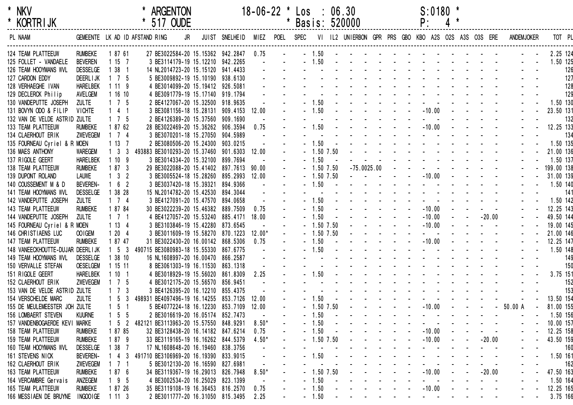| * | <b>NKV</b>      |
|---|-----------------|
|   | <b>KORTRIJK</b> |

| <b>KORTRIJK</b>                  |                 |                     | 51/ OUDE                                    |    |                |          |           |                | Basis: 520000 |  | Ρ:                                                  |  |          |            |            |        |
|----------------------------------|-----------------|---------------------|---------------------------------------------|----|----------------|----------|-----------|----------------|---------------|--|-----------------------------------------------------|--|----------|------------|------------|--------|
| PL NAAM                          |                 |                     | GEMEENTE LK AD ID AFSTAND RING              | JR | JUIST SNELHEID | MIEZ     | POEL SPEC |                |               |  | VI IL2 UNIERBON GPR PRS GBO KBO A2S O2S A3S O3S ERE |  |          | ANDEMJOKER |            | TOT PL |
| 124 TEAM PLATTEEUW               | <b>RUMBEKE</b>  | 1 87 61             | 27 BE3022584-20 15.15362 942.2847 0.75      |    |                |          |           | $-1.50$        |               |  |                                                     |  |          |            | 2.25 124   |        |
| 125 FOLLET - VANDAELE            | <b>BEVEREN</b>  | 1157                | 3 BE3114179-19 15.12210 942.2265            |    |                |          |           | 1.50           |               |  |                                                     |  |          |            | 1.50 125   |        |
| 126 TEAM HOOYMANS WVL            | <b>DESSELGE</b> | $138$ 1             | 14 NL2014723-20 15.15120 941.4433           |    |                |          |           |                |               |  |                                                     |  |          |            |            | 126    |
| 127 CARDON EDDY                  | <b>DEERLIJK</b> | 1 7 5               | 5 BE3009892-19 15.10190 938.6130            |    |                |          |           |                |               |  |                                                     |  |          |            |            | 127    |
| 128 VERHAEGHE IVAN               | <b>HARELBEK</b> | 1119                | 4 BE3014099-20 15.19412 926.5081            |    |                |          |           |                |               |  |                                                     |  |          |            |            | 128    |
| 129 DECLERCK Philip              | AVELGEM         | 11610               | 4 BE3091779-19 15.17140 919.1794            |    |                |          |           |                |               |  |                                                     |  |          |            |            | 129    |
| 130 VANDEPUTTE JOSEPH            | <b>ZULTE</b>    | $1 \quad 7 \quad 5$ | 2 BE4127067-20 15.32500 918.9635            |    |                |          |           | 1.50           |               |  |                                                     |  |          |            | 1.50 130   |        |
| 131 BOVYN ODO & FILIP            | <b>VICHTE</b>   | $141$               | 3 BE3081156-18 15.28131 909.4153 12.00      |    |                |          |           | 1.50           |               |  | $-10.00$                                            |  |          |            | 23.50 131  |        |
| 132 VAN DE VELDE ASTRID ZULTE    |                 | $1 \quad 7 \quad 5$ | 2 BE4126389-20 15.37560 909.1690            |    |                |          |           |                |               |  |                                                     |  |          |            |            | 132    |
| 133 TEAM PLATTEEUW               | <b>RUMBEKE</b>  | 1 87 62             | 28 BE3022469-20 15.36262 906.3594           |    |                | 0.75     |           | 1.50           |               |  | $-10.00$                                            |  |          |            | 12.25 133  |        |
| 134 CLAERHOUT ERIK               | <b>ZWEVEGEM</b> | $1 \quad 7 \quad 4$ | 3 BE3070201-18 15.27050 904.5989            |    |                |          |           |                |               |  |                                                     |  |          |            |            | 134    |
| 135 FOURNEAU Cyriel & R MOEN     |                 | 1137                | 2 BE3080506-20 15.24300 903.0215            |    |                |          |           | 1.50           |               |  |                                                     |  |          |            | 1.50 135   |        |
| 136 MAES ANTHONY                 | <b>WAREGEM</b>  | $1 \quad 3 \quad 3$ | 493883 BE3010293-20 15.37460 901.6303 12.00 |    |                |          |           | 1.50 7.50      |               |  |                                                     |  |          |            | 21.00 136  |        |
| 137 RIGOLE GEERT                 | <b>HARELBEK</b> | 1109                | 3 BE3014334-20 15.32100 899.7694            |    |                |          |           | 1.50           |               |  |                                                     |  |          |            | 1.50 137   |        |
| 138 TEAM PLATTEEUW               | <b>RUMBEKE</b>  | 1873                | 29 BE3022088-20 15.41402 897.7613 90.00     |    |                |          |           | $-1.50$ 7.50   | $-75.0025.00$ |  |                                                     |  |          |            | 199.00 138 |        |
| 139 DUPONT ROLAND                | <b>LAUWE</b>    | $1 \quad 3 \quad 2$ | 3 BE3005524-18 15.28260 895.2993            |    |                | 12.00    |           | $-1.50$ 7.50   |               |  | $-10.00$                                            |  |          |            | 31.00 139  |        |
| 140 COUSSEMENT M & D             | <b>BEVEREN-</b> | $1\quad 6\quad 2$   | 3 BE3037420-18 15.39321 894.9366            |    |                |          |           | 1.50           |               |  |                                                     |  |          |            | 1.50 140   |        |
| 141 TEAM HOOYMANS WVL            | <b>DESSELGE</b> | 1 38 28             | 15 NL2014782-20 15.42530 894.3044           |    |                |          |           |                |               |  |                                                     |  |          |            |            | 141    |
| 142 VANDEPUTTE JOSEPH            | <b>ZULTE</b>    | $1 \quad 7 \quad 4$ | 3 BE4127091-20 15.47570 894.0658            |    |                |          |           | 1.50           |               |  |                                                     |  |          |            | 1.50 142   |        |
| 143 TEAM PLATTEEUW               | <b>RUMBEKE</b>  | 1 87 84             | 30 BE3022239-20 15.46382 889.7509           |    |                | 0.75     |           | 1.50           |               |  | $-10.00$                                            |  |          |            | 12.25 143  |        |
| 144 VANDEPUTTE JOSEPH            | <b>ZULTE</b>    | $1 \quad 7 \quad 1$ | 4 BE4127057-20 15.53240 885.4171 18.00      |    |                |          |           | 1.50           |               |  | $-10.00$                                            |  | $-20.00$ |            | 49.50 144  |        |
| 145 FOURNEAU Cyriel & R MOEN     |                 | 1134                | 3 BE3103846-19 15.42280 873.6545            |    |                |          |           | $-1.50$ 7.50   |               |  | $-10.00$                                            |  |          |            | 19.00 145  |        |
| 146 CHRISTIAENS LUC              | OO IGEM         | 1204                | 3 BE3011609-19 15.58270 870.1223            |    |                | $12.00*$ |           | $-1.50$ 7.50   |               |  |                                                     |  |          |            | 21.00 146  |        |
| 147 TEAM PLATTEEUW               | <b>RUMBEKE</b>  | 1 87 47             | 31 BE3022430-20 16.00142 868.5306           |    |                | 0.75     |           | 1.50           |               |  | $-10.00$                                            |  |          |            | 12.25 147  |        |
| 148 VANEECKHOUTTE-DUJAR DEERLIJK |                 | $1\quad5\quad3$     | 490715 BE3080983-18 15.55330 867.6775       |    |                |          |           | 1.50           |               |  |                                                     |  |          |            | 1.50 148   |        |
| 149 TEAM HOOYMANS WVL            | <b>DESSELGE</b> | 1 38 10             | 16 NL1608997-20 16.00470 866.2587           |    |                |          |           |                |               |  |                                                     |  |          |            |            | 149    |
| 150 VERVALLE STEFAN              | <b>OESELGEM</b> | 1 15 11             | 8 BE3061303-19 16.11530 863.1318            |    |                |          |           |                |               |  |                                                     |  |          |            |            | 150    |
| 151 RIGOLE GEERT                 | <b>HARELBEK</b> | 1101                | 4 BE3018929-19 15.56020 861.8309            |    |                | 2.25     |           | 1.50           |               |  |                                                     |  |          |            | 3.75 151   |        |
| 152 CLAERHOUT ERIK               | <b>ZWEVEGEM</b> | $1 \quad 7 \quad 5$ | 4 BE3012175-20 15.56570 856.9451            |    |                |          |           |                |               |  |                                                     |  |          |            |            | 152    |
| 153 VAN DE VELDE ASTRID ZULTE    |                 | $1 \quad 7 \quad 3$ | 3 BE4126395-20 16.12210 855.4375            |    |                |          |           |                |               |  |                                                     |  |          |            |            | 153    |
| 154 VERSCHELDE MARC              | <b>ZULTE</b>    | $1\quad 5\quad 3$   | 498931 BE4097496-19 16.14255 853.7126       |    |                | 12.00    |           | 1.50           |               |  |                                                     |  |          |            | 13.50 154  |        |
| 155 DE MEULEMEESTER JOH ZULTE    |                 | $1\quad5\quad1$     | 5 BE4077224-18 16.12230 853.7109            |    |                | 12.00    |           | 1.50 7.50      |               |  | $-10.00$                                            |  |          | 50.00 A    | 81.00 155  |        |
| 156 LOMBAERT STEVEN              | <b>KUURNE</b>   | $1\quad5\quad5$     | 2 BE3016619-20 16.05174 852.7473            |    |                |          |           | 1.50           |               |  |                                                     |  |          |            | 1.50 156   |        |
| 157 VANDENBOGAERDE KEVI MARKE    |                 | $1\quad 5\quad 2$   | 482121 BE3113963-20 15.57550 848.9291       |    |                | $8.50*$  |           | 1.50           |               |  |                                                     |  |          |            | 10.00 157  |        |
| 158 TEAM PLATTEEUW               | <b>RUMBEKE</b>  | 1 87 85             | 32 BE3128438-20 16.14182 847.6214           |    |                | 0.75     |           | 1.50           |               |  | $-10.00$                                            |  |          |            | 12.25 158  |        |
| 159 TEAM PLATTEEUW               | <b>RUMBEKE</b>  | 1879                | 33 BE3119165-19 16.16262 844.5379           |    |                | $4.50*$  |           | 1.50 7.50      |               |  | $-10.00$                                            |  | $-20.00$ |            | 43.50 159  |        |
| 160 TEAM HOOYMANS WVL            | <b>DESSELGE</b> | 1387                | 17 NL1608648-20 16.19460 838.3756           |    |                |          |           |                |               |  |                                                     |  |          |            |            | 160    |
| 161 STEVENS NICK                 | <b>BEVEREN-</b> | $4 \quad 3$         | 491710 BE3106969-20 16.19390 833.9015       |    |                |          |           | 1.50           |               |  |                                                     |  |          |            | 1.50 161   |        |
| 162 CLAERHOUT ERIK               | ZWEVEGEM        | $1 \t1 \t1$         | 5 BE3012130-20 16.16590 827.6981            |    |                |          |           |                |               |  |                                                     |  |          |            |            | 162    |
| 163 TEAM PLATTEEUW               | <b>RUMBEKE</b>  | 1876                | 34 BE3119367-19 16.29013                    |    | 826.7948       | $8.50*$  |           | $-1.50$ $7.50$ |               |  | $-10.00$                                            |  | $-20.00$ |            | 47.50 163  |        |
| 164 VERCAMBRE Gervais            | ANZEGEM         | 195                 | 4 BE3002534-20 16.25029                     |    | 823.1399       |          |           | 1.50           |               |  |                                                     |  |          |            | 1.50 164   |        |
| 165 TEAM PLATTEEUW               | <b>RUMBEKE</b>  | 1 87 26             | 35 BE3119108-19 16.36453 816.2570           |    |                | 0.75     |           | 1.50           |               |  | $-10.00$                                            |  |          |            | 12.25 165  |        |
| 166 MESSIAEN DE BRUYNE           | INGOO IGE       | 1113                | 2 BE3011777-20 16.31050 815.3495            |    |                | 2.25     |           | $-1.50$        |               |  |                                                     |  |          |            | 3.75 166   |        |
|                                  |                 |                     |                                             |    |                |          |           |                |               |  |                                                     |  |          |            |            |        |